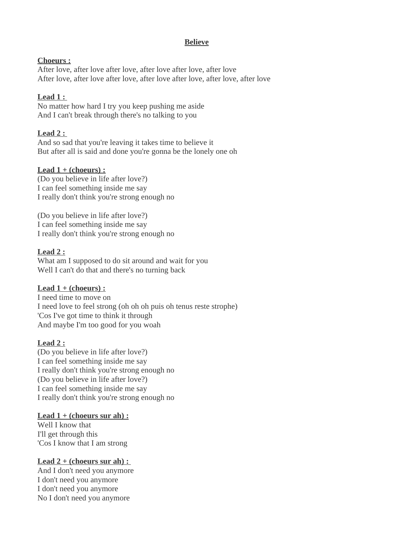#### **Believe**

### **Choeurs :**

After love, after love after love, after love after love, after love After love, after love after love, after love after love, after love, after love

### **Lead 1 :**

No matter how hard I try you keep pushing me aside And I can't break through there's no talking to you

### **Lead 2 :**

And so sad that you're leaving it takes time to believe it But after all is said and done you're gonna be the lonely one oh

# **Lead 1 + (choeurs) :**

(Do you believe in life after love?) I can feel something inside me say I really don't think you're strong enough no

(Do you believe in life after love?) I can feel something inside me say I really don't think you're strong enough no

### **Lead 2 :**

What am I supposed to do sit around and wait for you Well I can't do that and there's no turning back

# Lead  $1 + (choeurs)$  :

I need time to move on I need love to feel strong (oh oh oh puis oh tenus reste strophe) 'Cos I've got time to think it through And maybe I'm too good for you woah

### **Lead 2 :**

(Do you believe in life after love?) I can feel something inside me say I really don't think you're strong enough no (Do you believe in life after love?) I can feel something inside me say I really don't think you're strong enough no

### **Lead 1 + (choeurs sur ah) :**

Well I know that I'll get through this 'Cos I know that I am strong

### **Lead 2 + (choeurs sur ah) :**

And I don't need you anymore I don't need you anymore I don't need you anymore No I don't need you anymore